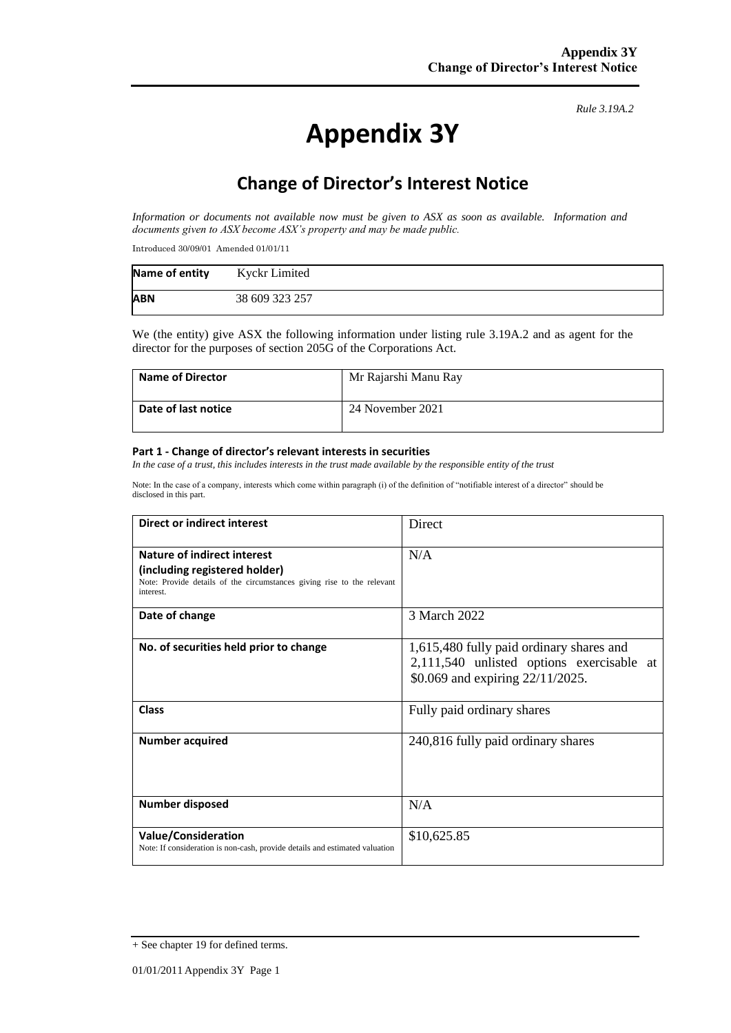# **Appendix 3Y**

*Rule 3.19A.2*

## **Change of Director's Interest Notice**

*Information or documents not available now must be given to ASX as soon as available. Information and documents given to ASX become ASX's property and may be made public.*

Introduced 30/09/01 Amended 01/01/11

| Name of entity | Kyckr Limited  |
|----------------|----------------|
| <b>ABN</b>     | 38 609 323 257 |

We (the entity) give ASX the following information under listing rule 3.19A.2 and as agent for the director for the purposes of section 205G of the Corporations Act.

| <b>Name of Director</b> | Mr Rajarshi Manu Ray |
|-------------------------|----------------------|
| Date of last notice     | 24 November 2021     |

#### **Part 1 - Change of director's relevant interests in securities**

*In the case of a trust, this includes interests in the trust made available by the responsible entity of the trust*

Note: In the case of a company, interests which come within paragraph (i) of the definition of "notifiable interest of a director" should be disclosed in this part.

| Direct or indirect interest                                                                                                                         | Direct                                                                                                                    |  |
|-----------------------------------------------------------------------------------------------------------------------------------------------------|---------------------------------------------------------------------------------------------------------------------------|--|
| Nature of indirect interest<br>(including registered holder)<br>Note: Provide details of the circumstances giving rise to the relevant<br>interest. | N/A                                                                                                                       |  |
| Date of change                                                                                                                                      | 3 March 2022                                                                                                              |  |
| No. of securities held prior to change                                                                                                              | 1,615,480 fully paid ordinary shares and<br>2,111,540 unlisted options exercisable at<br>\$0.069 and expiring 22/11/2025. |  |
| <b>Class</b>                                                                                                                                        | Fully paid ordinary shares                                                                                                |  |
| <b>Number acquired</b>                                                                                                                              | 240,816 fully paid ordinary shares                                                                                        |  |
| Number disposed                                                                                                                                     | N/A                                                                                                                       |  |
| <b>Value/Consideration</b><br>Note: If consideration is non-cash, provide details and estimated valuation                                           | \$10,625.85                                                                                                               |  |

<sup>+</sup> See chapter 19 for defined terms.